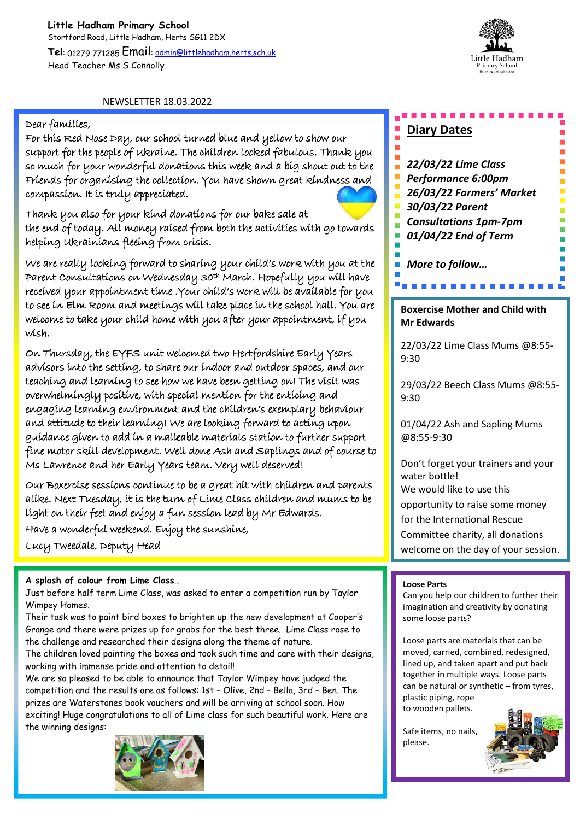

### NEWSLETTER 18.03.2022

### Dear families,

For this Red Nose Day, our school turned blue and yellow to show our support for the people of Ukraine. The children looked fabulous. Thank you so much for your wonderful donations this week and a big shout out to the Friends for organising the collection. You have shown great kindness and compassion. It is truly appreciated.



Thank you also for your kind donations for our bake sale at the end of today. All money raised from both the activities with go towards helping Ukrainians fleeing from crisis.

We are really looking forward to sharing your child's work with you at the Parent Consultations on Wednesday 30<sup>th</sup> March. Hopefully you will have received your appointment time .Your child's work will be available for you to see in Elm Room and meetings will take place in the school hall. You are welcome to take your child home with you after your appointment, if you wish.

On Thursday, the EYFS unit welcomed two Hertfordshire Early Years advisors into the setting, to share our indoor and outdoor spaces, and our teaching and learning to see how we have been getting on! The visit was overwhelmingly positive, with special mention for the enticing and engaging learning environment and the children's exemplary behaviour and attitude to their learning! We are looking forward to acting upon guidance given to add in a malleable materials station to further support fine motor skill development. Well done Ash and Saplings and of course to Ms Lawrence and her Early Years team. Very well deserved!

líght on their feet and enjoy a fun session lead by Mr <del>E</del>dwards. Our Boxercise sessions continue to be a great hit with children and parents alike. Next Tuesday, it is the turn of Lime Class children and mums to be

**Early Years…** Have a wonderful weekend. Enjoy the sunshine,

Lucy Tweedale, Deputy Head

### **A splash of colour from Lime Class…**

Just before half term Lime Class, was asked to enter a competition run by Taylor Wimpey Homes.

Their task was to paint bird boxes to brighten up the new development at Cooper's Grange and there were prizes up for grabs for the best three. Lime Class rose to the challenge and researched their designs along the theme of nature.

The children loved painting the boxes and took such time and care with their designs, working with immense pride and attention to detail!

We are so pleased to be able to announce that Taylor Wimpey have judged the competition and the results are as follows: 1st – Olive, 2nd – Bella, 3rd – Ben. The prizes are Waterstones book vouchers and will be arriving at school soon. How exciting! Huge congratulations to all of Lime class for such beautiful work. Here are the winning designs:



# **Diary Dates**

*22/03/22 Lime Class* 

- *Performance 6:00pm*
- *26/03/22 Farmers' Market*
- *30/03/22 Parent*
- *Consultations 1pm-7pm*
- *01/04/22 End of Term*

*More to follow…*

### **Boxercise Mother and Child with Mr Edwards**

22/03/22 Lime Class Mums @8:55- 9:30

29/03/22 Beech Class Mums @8:55- 9:30

01/04/22 Ash and Sapling Mums @8:55-9:30

Don't forget your trainers and your water bottle! We would like to use this opportunity to raise some money for the International Rescue

Committee charity, all donations

welcome on the day of your session.

#### **Loose Parts**

Can you help our children to further their imagination and creativity by donating some loose parts?

Loose parts are materials that can be moved, carried, combined, redesigned, lined up, and taken apart and put back together in multiple ways. Loose parts can be natural or synthetic – from tyres, plastic piping, rope to wooden pallets.

Safe items, no nails, please.